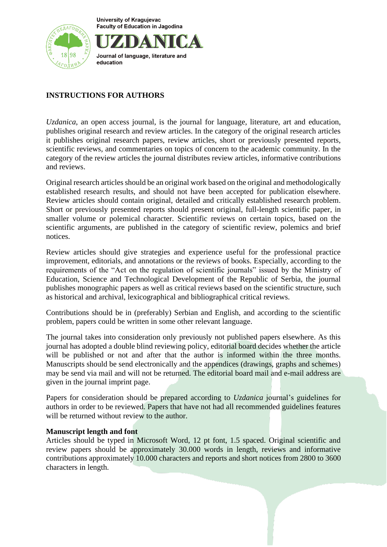**University of Kraguievac Faculty of Education in Jagodina** 



# Journal of language, literature and education

## **INSTRUCTIONS FOR AUTHORS**

*Uzdanica*, an open access journal, is the journal for language, literature, art and education, publishes original research and review articles. In the category of the original research articles it publishes original research papers, review articles, short or previously presented reports, scientific reviews, and commentaries on topics of concern to the academic community. In the category of the review articles the journal distributes review articles, informative contributions and reviews.

Original research articles should be an original work based on the original and methodologically established research results, and should not have been accepted for publication elsewhere. Review articles should contain original, detailed and critically established research problem. Short or previously presented reports should present original, full-length scientific paper, in smaller volume or polemical character. Scientific reviews on certain topics, based on the scientific arguments, are published in the category of scientific review, polemics and brief notices.

Review articles should give strategies and experience useful for the professional practice improvement, editorials, and annotations or the reviews of books. Especially, according to the requirements of the "Act on the regulation of scientific journals" issued by the Ministry of Education, Science and Technological Development of the Republic of Serbia, the journal publishes monographic papers as well as critical reviews based on the scientific structure, such as historical and archival, lexicographical and bibliographical critical reviews.

Contributions should be in (preferably) Serbian and English, and according to the scientific problem, papers could be written in some other relevant language.

The journal takes into consideration only previously not published papers elsewhere. As this journal has adopted a double blind reviewing policy, editorial board decides whether the article will be published or not and after that the author is informed within the three months. Manuscripts should be send electronically and the appendices (drawings, graphs and schemes) may be send via mail and will not be returned. The editorial board mail and e-mail address are given in the journal imprint page.

Papers for consideration should be prepared according to *Uzdanica* journal's guidelines for authors in order to be reviewed. Papers that have not had all recommended guidelines features will be returned without review to the author.

## **Manuscript length and font**

Articles should be typed in Microsoft Word, 12 pt font, 1.5 spaced. Original scientific and review papers should be approximately 30.000 words in length, reviews and informative contributions approximately 10.000 characters and reports and short notices from 2800 to 3600 characters in length.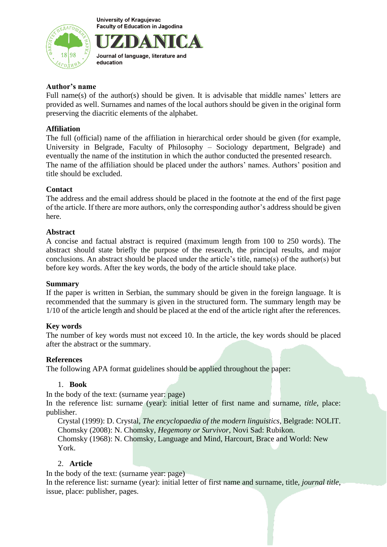**University of Kraguievac Faculty of Education in Jagodina** 





#### **Author's name**

Full name(s) of the author(s) should be given. It is advisable that middle names' letters are provided as well. Surnames and names of the local authors should be given in the original form preserving the diacritic elements of the alphabet.

## **Affiliation**

The full (official) name of the affiliation in hierarchical order should be given (for example, University in Belgrade, Faculty of Philosophy – Sociology department, Belgrade) and eventually the name of the institution in which the author conducted the presented research. The name of the affiliation should be placed under the authors' names. Authors' position and title should be excluded.

## **Contact**

The address and the email address should be placed in the footnote at the end of the first page of the article. If there are more authors, only the corresponding author's address should be given here.

## **Abstract**

A concise and factual abstract is required (maximum length from 100 to 250 words). The abstract should state briefly the purpose of the research, the principal results, and major conclusions. An abstract should be placed under the article's title, name(s) of the author(s) but before key words. After the key words, the body of the article should take place.

#### **Summary**

If the paper is written in Serbian, the summary should be given in the foreign language. It is recommended that the summary is given in the structured form. The summary length may be 1/10 of the article length and should be placed at the end of the article right after the references.

## **Key words**

The number of key words must not exceed 10. In the article, the key words should be placed after the abstract or the summary.

#### **References**

The following APA format guidelines should be applied throughout the paper:

#### 1. **Book**

In the body of the text: (surname year: page)

In the reference list: surname (year): initial letter of first name and surname, *title*, place: publisher.

Crystal (1999): D. Crystal, *The encyclopaedia of the modern linguistics*, Belgrade: NOLIT. Chomsky (2008): N. Chomsky, *Hegemony or Survivor*, Novi Sad: Rubikon. Chomsky (1968): N. Chomsky, Language and Mind, Harcourt, Brace and World: New York.

#### 2. **Article**

In the body of the text: (surname year: page)

In the reference list: surname (year): initial letter of first name and surname, title, *journal title*, issue, place: publisher, pages.